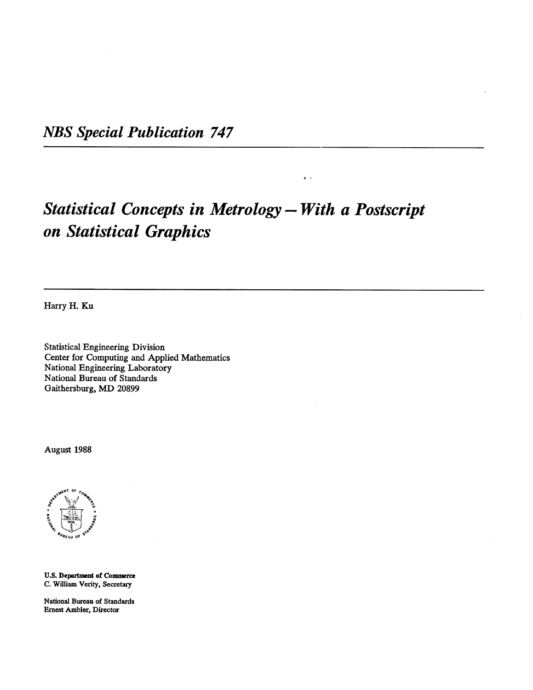NBS Special Publication 747

# Statistical Concepts in Metrology - With a Postscript on Statistical Graphics

 $\ddot{\bullet}$ 

Harry H. Ku

Statistical Engineering Division Center for Computing and Applied Mathematics National Engineering Laboratory National Bureau of Standards Gaithersburg, MD 20899

August 1988



U.S. Department of Commerce C. William Verity, Secretary

National Bureau of Standards Ernest Ambler, Director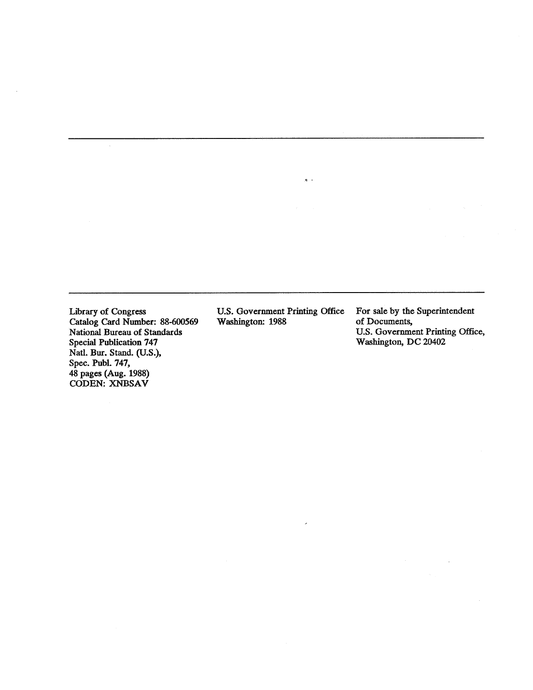Library of Congress Catalog Card Number: 88-600569 National Bureau of Standards Special Publication 747 Natl. Bur. Stand. (U.S.), Spec. Pubi. 747, 48 pages (Aug. 1988) CODEN: XNBSAV

 $\mathcal{A}$ 

U.S. Government Printing Office Washington: 1988

 $\hat{u}$  .

For sale by the Superintendent of Documents U.S. Government Printing Office, Washington, DC 20402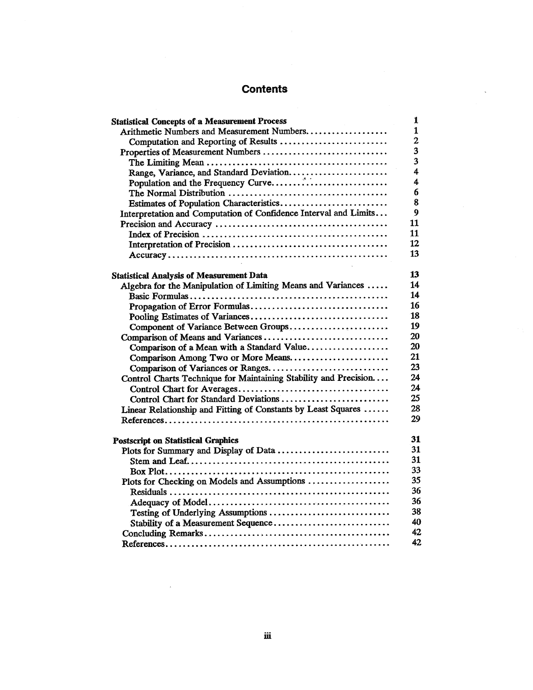## **Contents**

| <b>Statistical Concepts of a Measurement Process</b>             | 1                       |
|------------------------------------------------------------------|-------------------------|
| Arithmetic Numbers and Measurement Numbers                       | $\mathbf{1}$            |
| Computation and Reporting of Results                             | $\overline{\mathbf{c}}$ |
| Properties of Measurement Numbers                                | $\overline{\mathbf{3}}$ |
|                                                                  | $\overline{\mathbf{3}}$ |
|                                                                  | $\overline{\mathbf{4}}$ |
|                                                                  | 4                       |
|                                                                  | 6                       |
| Estimates of Population Characteristics                          | 8                       |
| Interpretation and Computation of Confidence Interval and Limits | 9                       |
|                                                                  | 11                      |
|                                                                  | 11                      |
|                                                                  | 12                      |
|                                                                  | 13                      |
|                                                                  |                         |
| <b>Statistical Analysis of Measurement Data</b>                  | 13                      |
| Algebra for the Manipulation of Limiting Means and Variances     | 14                      |
|                                                                  | 14                      |
|                                                                  | 16                      |
|                                                                  | 18                      |
| Component of Variance Between Groups                             | 19                      |
| Comparison of Means and Variances                                | 20                      |
| Comparison of a Mean with a Standard Value                       | 20                      |
| Comparison Among Two or More Means                               | 21                      |
| Comparison of Variances or Ranges                                | 23                      |
| Control Charts Technique for Maintaining Stability and Precision | 24                      |
|                                                                  | 24                      |
| Control Chart for Standard Deviations                            | 25                      |
| Linear Relationship and Fitting of Constants by Least Squares    | 28                      |
|                                                                  | 29                      |
| <b>Postscript on Statistical Graphics</b>                        | 31                      |
| Plots for Summary and Display of Data                            | 31                      |
|                                                                  | 31                      |
|                                                                  | 33                      |
| Plots for Checking on Models and Assumptions                     | 35                      |
|                                                                  | 36                      |
|                                                                  | 36                      |
|                                                                  | 38                      |
| Testing of Underlying Assumptions                                | 40                      |
| Stability of a Measurement Sequence                              | 42                      |
|                                                                  | 42                      |
|                                                                  |                         |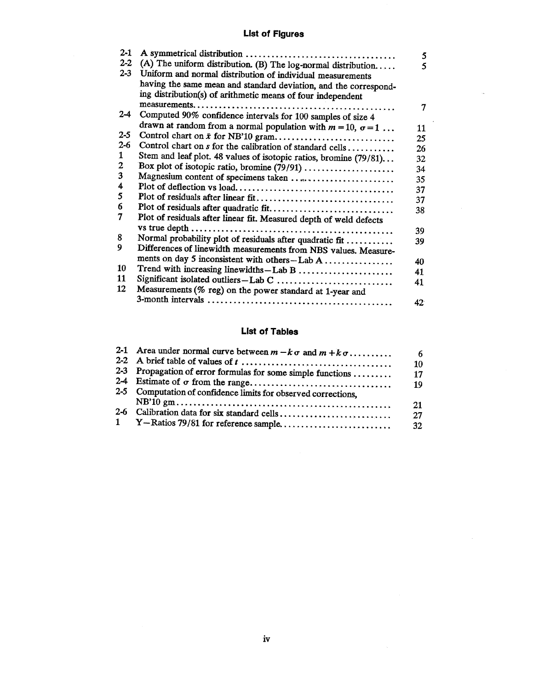### LIst of Figures

i.

| $2 - 1$                                                                  | 5  |
|--------------------------------------------------------------------------|----|
| $2 - 2$<br>(A) The uniform distribution. (B) The log-normal distribution | 5  |
| $2 - 3$<br>Uniform and normal distribution of individual measurements    |    |
| having the same mean and standard deviation, and the correspond-         |    |
| ing distribution(s) of arithmetic means of four independent              |    |
|                                                                          | 7  |
| $2 - 4$<br>Computed 90% confidence intervals for 100 samples of size 4   |    |
| drawn at random from a normal population with $m = 10$ , $\sigma = 1$    | 11 |
| $2 - 5$                                                                  | 25 |
| $2 - 6$<br>Control chart on s for the calibration of standard cells      | 26 |
| 1<br>Stem and leaf plot. 48 values of isotopic ratios, bromine (79/81)   | 32 |
| 2<br>Box plot of isotopic ratio, bromine (79/91)                         | 34 |
| 3                                                                        | 35 |
| 4                                                                        | 37 |
| 5                                                                        | 37 |
| 6                                                                        | 38 |
| 7<br>Plot of residuals after linear fit. Measured depth of weld defects  |    |
|                                                                          | 39 |
| 8<br>Normal probability plot of residuals after quadratic fit            | 39 |
| 9<br>Differences of linewidth measurements from NBS values. Measure-     |    |
| ments on day 5 inconsistent with others-Lab A                            | 40 |
| 10<br>Trend with increasing linewidths-Lab B                             | 41 |
| 11                                                                       | 41 |
| 12<br>Measurements (% reg) on the power standard at 1-year and           |    |
|                                                                          | 42 |

#### LIst of Tables

| 2-1 Area under normal curve between $m - k \sigma$ and $m + k \sigma$ | 6  |
|-----------------------------------------------------------------------|----|
|                                                                       | 10 |
| 2-3 Propagation of error formulas for some simple functions           | 17 |
|                                                                       | 19 |
| 2-5 Computation of confidence limits for observed corrections,        |    |
|                                                                       | 21 |
| 2-6 Calibration data for six standard cells                           | 27 |
|                                                                       | 32 |
|                                                                       |    |

 $\mathcal{A}_\mathrm{c}$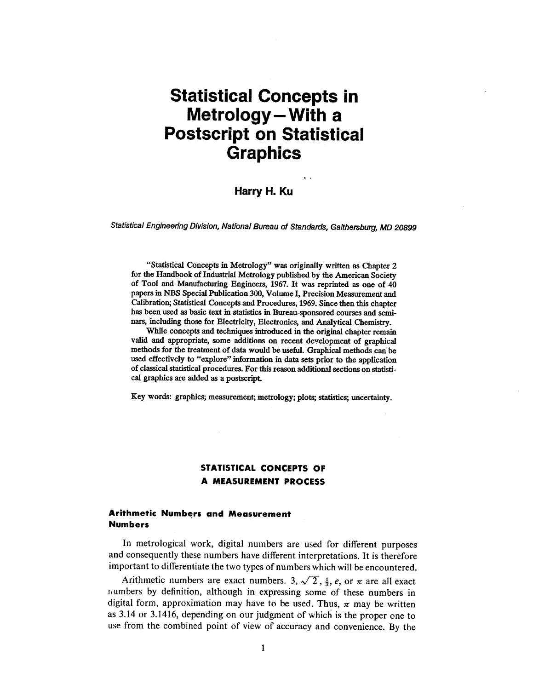## Statistical Concepts in Metrology-With a Postscript on Statistical Graphics

#### Harry H. Ku

Statistical Engineering Division, National Bureau of Standards, Gaithersburg, MD 20899

Statistical Concepts in Metrology" was originally written as Chapter 2 for the Handbook of Industrial Metrology published by the American Society of Tool and Manufacturing Engineers, 1967. It was reprinted as one of 40 papers in NBS Special Publication 300, Volume I, Precision Measurement and Calibration; Statistical Concepts and Procedures, 1969. Since then this chapter has been used as basic text in statistics in Bureau-sponsored courses and seminars, including those for Electricity, Electronics, and Analytical Chemistry.

While concepts and techniques introduced in the original chapter remain valid and appropriate, some additions on recent development of graphical methods for the treatment of data would be useful. Graphical methods can be used effectively to "explore" information in data sets prior to the application of classical statistical procedures. For this reason additional sections on statistical graphics are added as a postscript.

Key words: graphics; measurement; metrology; plots; statistics; uncertainty.

#### STATISTICAL CONCEPTS OF A MEASUREMENT PROCESS

#### Arithmetic Numbers and Measurement Numbers

In metrological work, digital numbers are used for different purposes and consequently these numbers have different interpretations. It is therefore important to differentiate the two types of numbers which will be encountered.

Arithmetic numbers are exact numbers. 3,  $\sqrt{2}$ ,  $\frac{1}{3}$ , e, or  $\pi$  are all exact r.umbers by definition, although in expressing some of these numbers in digital form, approximation may have to be used. Thus,  $\pi$  may be written as 3, 14 or 3. 1416, depending on our judgment of which is the proper one to use from the combined point of view of accuracy and convenience. By the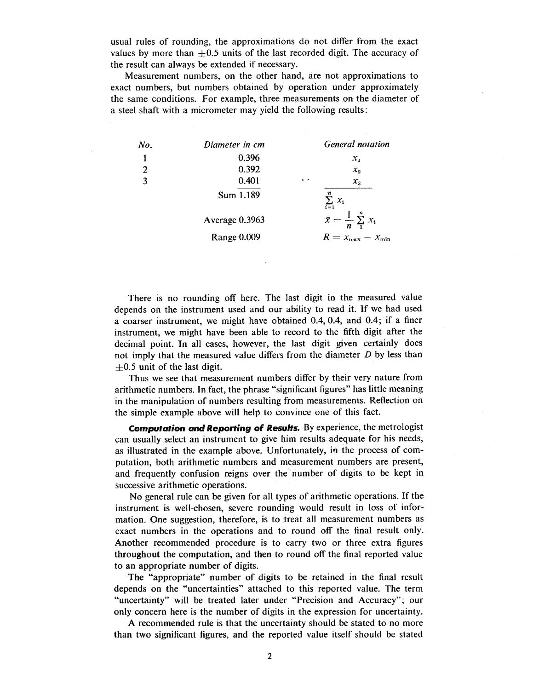usual rules of rounding, the approximations do not differ from the exact values by more than  $\pm 0.5$  units of the last recorded digit. The accuracy of the result can always be extended if necessary.

Measurement numbers, on the other hand, are not approximations to exact numbers, but numbers obtained by operation under approximately the same conditions. For example, three measurements on the diameter of a steel shaft with a micrometer may yield the following results:

| No.            | Diameter in cm |          | <b>General</b> notation                    |
|----------------|----------------|----------|--------------------------------------------|
|                | 0.396          |          | $x_{1}$                                    |
| $\overline{2}$ | 0.392          |          | $x_{2}$                                    |
| $\overline{3}$ | 0.401          | $-3 - 4$ | $x_{3}$                                    |
|                | Sum 1.189      |          | $\sum_{i=1}^n x_i$                         |
|                | Average 0.3963 |          | $\bar{x} = \frac{1}{n} \sum_{i=1}^{n} x_i$ |
|                | Range 0.009    |          | $R = x_{\text{max}} - x_{\text{min}}$      |

There is no rounding off here. The last digit in the measured value depends on the instrument used and our ability to read it. If we had used a coarser instrument, we might have obtained 0.4 0.4, and 0.4; if a finer instrument, we might have been able to record to the fifth digit after the decimal point. In all cases, however, the last digit given certainly does not imply that the measured value differs from the diameter  $D$  by less than  $+0.5$  unit of the last digit.

Thus we see that measurement numbers differ by their very nature from arithmetic numbers. In fact, the phrase "significant figures" has little meaning in the manipulation of numbers resulting from measurements. Reflection on the simple example above will help to convince one of this fact.

Computation and Reporting of Results. By experience, the metrologist can usually select an instrument to give him results adequate for his needs as illustrated in the example above. Unfortunately, in the process of computation, both arithmetic numbers and measurement numbers are present and frequently confusion reigns over the number of digits to be kept in successive arithmetic operations.

No general rule can be given for all types of arithmetic operations. If the instrument is well-chosen, severe rounding would result in loss of information. One suggestion, therefore, is to treat all measurement numbers as exact numbers in the operations and to round off the final result only. Another recommended procedure is to carry two or three extra figures throughout the computation, and then to round off the final reported value to an appropriate number of digits.

The "appropriate" number of digits to be retained in the final result depends on the "uncertainties" attached to this reported value. The term "uncertainty" will be treated later under "Precision and Accuracy"; our only concern here is the number of digits in the expression for uncertainty.

A recommended rule is that the uncertainty should be stated to no more than two significant figures, and the reported value itself should be stated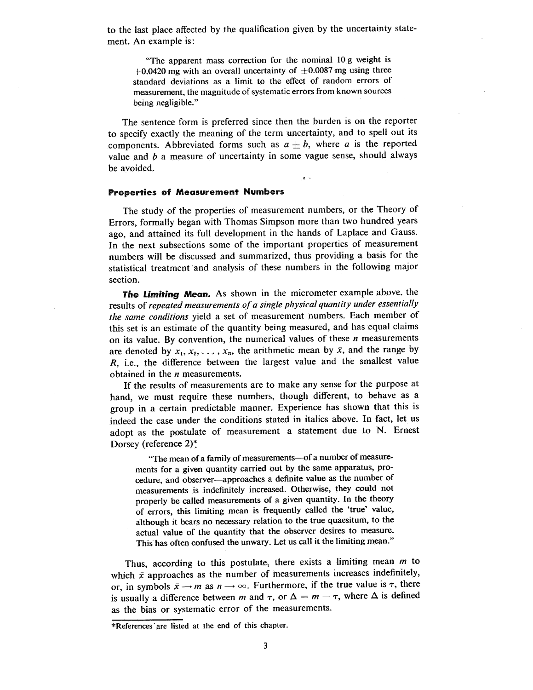to the last place affected by the qualification given by the uncertainty statement. An example is:

"The apparent mass correction for the nominal 10 g weight is  $+0.0420$  mg with an overall uncertainty of  $\pm 0.0087$  mg using three standard deviations as a limit to the effect of random errors of measurement, the magnitude of systematic errors from known sources being negligible."

The sentence form is preferred since then the burden is on the reporter to specify exactly the meaning of the term uncertainty, and to spell out its components. Abbreviated forms such as  $a \pm b$ , where a is the reported value and  $b$  a measure of uncertainty in some vague sense, should always be avoided.

 $\ddot{\bullet}$ 

#### Properties of Mecsurement Numbers

The study of the properties of measurement numbers, or the Theory of Errors, formally began with Thomas Simpson more than two hundred years ago, and attained its full development in the hands of Laplace and Gauss. In the next subsections some of the important properties of measurement numbers will be discussed and summarized, thus providing a basis for the statistical treatment and analysis of these numbers in the following major section.

The Limiting Mean. As shown in the micrometer example above, the results of repeated measurements of a single physical quantity under essentially the same conditions yield a set of measurement numbers. Each member of this set is an estimate of the quantity being measured, and has equal claims on its value. By convention, the numerical values of these  $n$  measurements are denoted by  $x_1, x_2, \ldots, x_n$ , the arithmetic mean by  $\bar{x}$ , and the range by  $R$ , i.e., the difference between the largest value and the smallest value obtained in the  $n$  measurements.

If the results of measurements are to make any sense for the purpose at hand, we must require these numbers, though different, to behave as a group in a certain predictable manner. Experience has shown that this is indeed the case under the conditions stated in italics above. In fact, let us adopt as the postulate of measurement a statement due to N. Ernest Dorsey (reference 2)\*

"The mean of a family of measurements-of a number of measurements for a given quantity carried out by the same apparatus, procedure, and observer-approaches a definite value as the number of measurements is indefinitely increased. Otherwise, they could not properly be called measurements of a given quantity. In the theory of errors, this limiting mean is frequently called the 'true' value although it bears no necessary relation to the true quaesitum, to the actual value of the quantity that the observer desires to measure. This has often confused the unwary. Let us call it the limiting mean.

Thus, according to this postulate, there exists a limiting mean  $m$  to which  $\bar{x}$  approaches as the number of measurements increases indefinitely, or, in symbols  $\bar{x} \rightarrow m$  as  $n \rightarrow \infty$ . Furthermore, if the true value is  $\tau$ , there is usually a difference between m and  $\tau$ , or  $\Delta = m - \tau$ , where  $\Delta$  is defined as the bias or systematic error of the measurements.

<sup>\*</sup>References' are listed at the end of this chapter.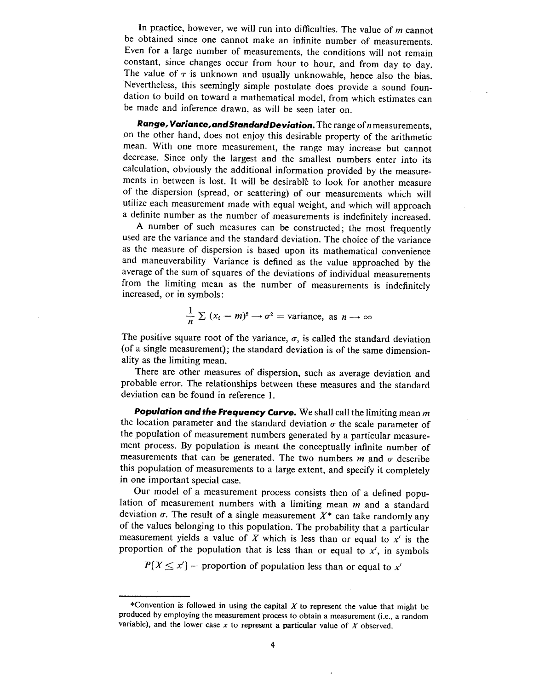In practice, however, we will run into difficulties. The value of  $m$  cannot be obtained since one cannot make an infinite number of measurements. Even for a large number of measurements, the conditions will not remain constant, since changes occur from hour to hour, and from day to day. The value of  $\tau$  is unknown and usually unknowable, hence also the bias. Nevertheless, this seemingly simple postulate does provide a sound foundation to build on toward a mathematical model, from which estimates can be made and inference drawn, as will be seen later on.

Range, Variance, and Standard Deviation. The range of n measurements, on the other hand, does not enjoy this desirable property of the arithmetic mean. With one more measurement, the range may increase but cannot decrease. Since only the largest and the smallest numbers enter into its calculation, obviously the additional information provided by the measurements in between is lost. It will be desirable 'to look for another measure of the dispersion (spread, or scattering) of our measurements which will utilize each measurement made with equal weight, and which will approach a definite number as the number of measurements is indefinitely increased.

A number of such measures can be constructed; the most frequently used are the variance and the standard deviation. The choice of the variance as the measure of dispersion is based upon its mathematical convenience and maneuverability Variance is defined as the value approached by the average of the sum of squares of the deviations of individual measurements from the limiting mean as the number of measurements is indefinitely increased, or in symbols:

$$
\frac{1}{n}\sum (x_i - m)^2 \rightarrow \sigma^2 = \text{variance, as } n \rightarrow \infty
$$

The positive square root of the variance,  $\sigma$ , is called the standard deviation (of a single measurement); the standard deviation is of the same dimensionality as the limiting mean.

There are other measures of dispersion, such as average deviation and probable error. The relationships between these measures and the standard deviation can be found in reference I.

Population and the Frequency Curve. We shall call the limiting mean  $m$ the location parameter and the standard deviation  $\sigma$  the scale parameter of the population of measurement numbers generated by a particular measurement process. By population is meant the conceptually infinite number of measurements that can be generated. The two numbers  $m$  and  $\sigma$  describe this population of measurements to a large extent, and specify it completely in one important special case.

Our model of a measurement process consists then of a defined population of measurement numbers with a limiting mean  $m$  and a standard deviation  $\sigma$ . The result of a single measurement  $X^*$  can take randomly any of the values belonging to this population. The probability that a particular measurement yields a value of X which is less than or equal to  $x'$  is the proportion of the population that is less than or equal to  $x'$ , in symbols

 $P\{X \leq x'\}$  = proportion of population less

<sup>\*</sup>Convention is followed in using the capital  $X$  to represent the value that might be produced by employing the measurement process to obtain a measurement (i.e., a random variable), and the lower case x to represent a particular value of  $X$  observed.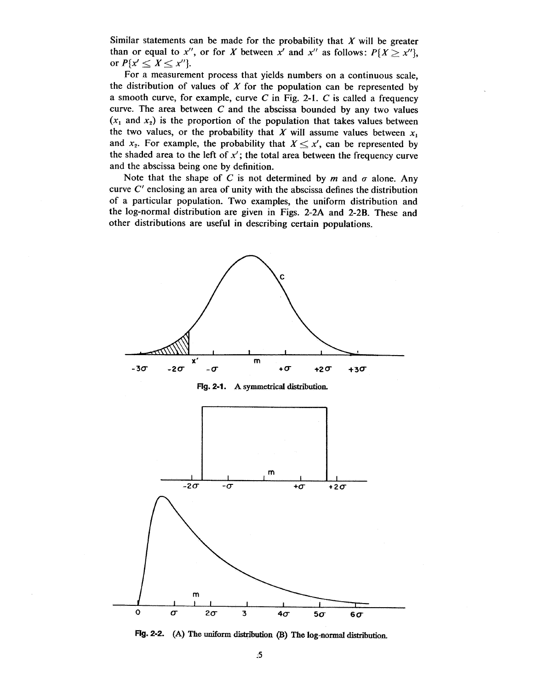Similar statements can be made for the probability that  $X$  will be greater than or equal to x'', or for X between x' and x'' as follows:  $P\{X \geq x''\}$ , or  $P\{x' \leq X \leq x''\}$ .

For a measurement process that yields numbers on a continuous scale. the distribution of values of  $X$  for the population can be represented by a smooth curve, for example, curve C in Fig. 2-1. C is called a frequency curve. The area between  $C$  and the abscissa bounded by any two values  $(x<sub>1</sub>$  and  $x<sub>2</sub>)$  is the proportion of the population that takes values between the two values, or the probability that X will assume values between  $x_i$ and  $x_2$ . For example, the probability that  $X \leq x'$ , can be represented by the shaded area to the left of  $x'$ ; the total area between the frequency curve and the abscissa being one by definition.

Note that the shape of C is not determined by  $m$  and  $\sigma$  alone. Any curve  $C'$  enclosing an area of unity with the abscissa defines the distribution of a particular population. Two examples, the uniform distribution and the log-normal distribution are given in Figs. 2-2A and 2-28. These and other distributions are useful in describing certain populations.



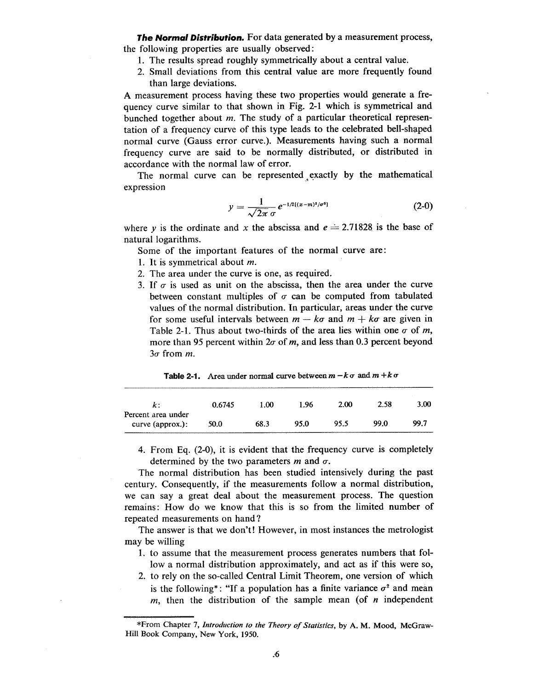**The Normal Distribution.** For data generated by a measurement process, the following properties are usually observed:

- I. The results spread roughly symmetrically about a central value.
- 2. Small deviations from this central value are more frequently found than large deviations.

A measurement process having these two properties would generate a frequency curve similar to that shown in Fig. 2-1 which is symmetrical and bunched together about  $m$ . The study of a particular theoretical representation of a frequency curve of this type leads to the celebrated bell-shaped normal curve (Gauss error curve. Measurements having such a normal frequency curve are said to be normally distributed, or distributed in accordance with the normal law of error.

The normal curve can be represented exactly by the mathematical expression

$$
y = \frac{1}{\sqrt{2\pi} \sigma} e^{-1/2[(x-m)^2/\sigma^2]}
$$
 (2-0)

where y is the ordinate and x the abscissa and  $e = 2.71828$  is the base of natural logarithms.

Some of the important features of the normal curve are:

- 1. It is symmetrical about  $m$ .
- 2. The area under the curve is one, as required.
- 3. If  $\sigma$  is used as unit on the abscissa, then the area under the curve between constant multiples of  $\sigma$  can be computed from tabulated values of the normal distribution. In particular, areas under the curve for some useful intervals between  $m - k\sigma$  and  $m + k\sigma$  are given in Table 2-1. Thus about two-thirds of the area lies within one  $\sigma$  of m, more than 95 percent within  $2\sigma$  of m, and less than 0.3 percent beyond  $3\sigma$  from  $m$ .

Table 2-1. Area under normal curve between  $m - k \sigma$  and  $m + k \sigma$ 

| k:                                        | 0.6745 | 1.00 | 1.96 | 2.00 | 2.58 | 3.00 |
|-------------------------------------------|--------|------|------|------|------|------|
| Percent area under<br>$curve (approx.)$ : | 50.0   | 68.3 | 95.0 | 95.5 | 99.0 | 99.7 |

4. From Eq. (2-0), it is evident that the frequency curve is completely determined by the two parameters m and  $\sigma$ .

The normal distribution has been studied intensively during the past century. Consequently, if the measurements follow a normal distribution we can say a great deal about the measurement process. The question remains: How do we know that this is so from the limited number of repeated measurements on hand?

The answer is that we don't! However, in most instances the metrologist may be willing

- 1. to assume that the measurement process generates numbers that follow a normal distribution approximately, and act as if this were so,
- 2. to rely on the so-called Central Limit Theorem, one version of which is the following\*: "If a population has a finite variance  $\sigma^2$  and mean  $m$ , then the distribution of the sample mean (of  $n$  independent

<sup>\*</sup>From Chapter 7, Introduction to the Theory of Statistics, by A. M. Mood, McGraw-Hill Book Company, New York, 1950.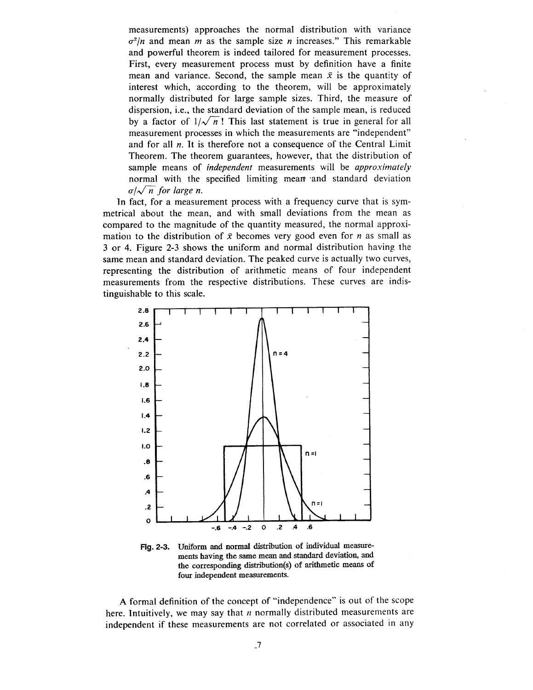measurements) approaches the normal distribution with variance  $\sigma^2/n$  and mean *m* as the sample size *n* increases." This remarkable and powerful theorem is indeed tailored for measurement processes. First, every measurement process must by definition have a finite mean and variance. Second, the sample mean  $\bar{x}$  is the quantity of interest which, according to the theorem, will be approximately normally distributed for large sample sizes. Third, the measure of dispersion, i.e., the standard deviation of the sample mean, is reduced by a factor of  $1/\sqrt{n}$ ! This last statement is true in general for all measurement processes in which the measurements are "independent" and for all  $n$ . It is therefore not a consequence of the Central Limit Theorem. The theorem guarantees, however, that the distribution of sample means of *independent* measurements will be *approximately* normal with the specified limiting mean and standard deviation  $\sigma/\sqrt{n}$  for large n.

In fact, for a measurement process with a frequency curve that is symmetrical about the mean, and with small deviations from the mean as compared to the magnitude of the quantity measured, the normal approximation to the distribution of  $\bar{x}$  becomes very good even for *n* as small as 3 or 4. Figure 2-3 shows the uniform and normal distribution having the same mean and standard deviation. The peaked curve is actually two curves representing the distribution of arithmetic means of four independent measurements from the respective distributions. These curves are indistinguishable to this scale.



Fig. 2-3. Uniform and normal distribution of individual measurements having the same mean and standard deviation, and the corresponding distribution(s) of arithmetic means of four independent measurements.

A formal definition of the concept of "independence" is out of the scope here. Intuitively, we may say that  $n$  normally distributed measurements are independent if these measurements are not correlated or associated in any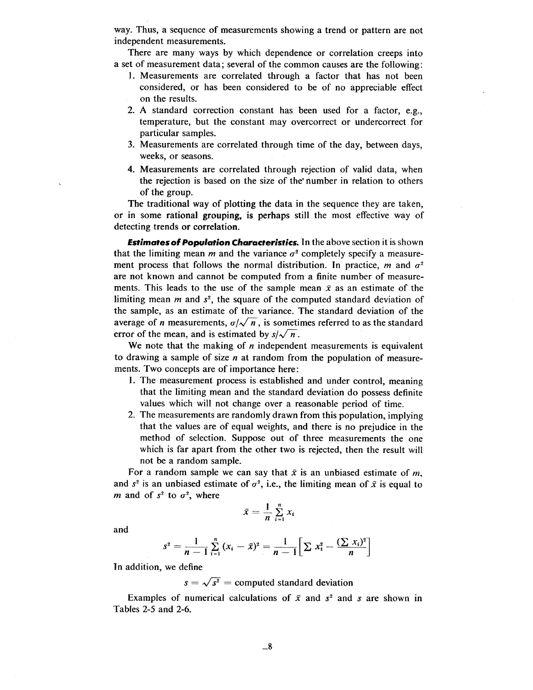way. Thus, a sequence of measurements showing a trend or pattern are not independent measurements.

There are many ways by which dependence or correlation creeps into a set of measurement data; several of the common causes are the following:

- 1. Measurements are correlated through a factor that has not been considered, or has been considered to be of no appreciable effect on the results.
- 2. A standard correction constant has been used for a factor, e. temperature, but the constant may overcorrect or undercorrect for particular samples.
- 3. Measurements are correlated through time of the day, between days weeks, or seasons.
- 4. Measurements are correlated through rejection of valid data, when the rejection is based on the size of the' number in relation to others of the group.

The traditional way of plotting the data in the sequence they are taken, or in some rational grouping, is perhaps still the most effective way of detecting trends or correlation.

**Estimates of Population Characteristics.** In the above section it is shown that the limiting mean m and the variance  $\sigma^2$  completely specify a measurement process that follows the normal distribution. In practice, m and  $\sigma^2$ are not known and cannot be computed from a finite number of measurements. This leads to the use of the sample mean  $\bar{x}$  as an estimate of the limiting mean  $m$  and  $s^2$ , the square of the computed standard deviation of the sample, as an estimate of the variance. The standard deviation of the average of *n* measurements,  $\sigma/\sqrt{n}$ , is sometimes referred to as the standard error of the mean, and is estimated by  $s/\sqrt{n}$ .

We note that the making of  *independent measurements is equivalent* to drawing a sample of size  $n$  at random from the population of measurements. Two concepts are of importance here:

- I. The measurement process is established and under control, meaning that the limiting mean and the standard deviation do possess definite values which will not change over a reasonable period of time.
- 2. The measurements are randomly drawn from this population, implying that the values are of equal weights, and there is no prejudice in the method of selection. Suppose out of three measurements the one which is far apart from the other two is rejected, then the result will not be a random sample.

For a random sample we can say that  $\bar{x}$  is an unbiased estimate of m. and  $s^2$  is an unbiased estimate of  $\sigma^2$ , i.e., the limiting mean of  $\bar{x}$  is equal to m and of  $s^2$  to  $\sigma^2$ , where

$$
\bar{x} = \frac{1}{n} \sum_{i=1}^n x_i
$$

and

$$
s^{2} = \frac{1}{n-1} \sum_{i=1}^{n} (x_{i} - \bar{x})^{2} = \frac{1}{n-1} \bigg[ \sum x_{i}^{2} - \frac{(\sum x_{i})^{2}}{n} \bigg]
$$

In addition, We define

 $s = \sqrt{s^2}$  = computed standard deviation

Examples of numerical calculations of  $\bar{x}$  and  $s^2$  and s are shown in Tables 2-5 and 2-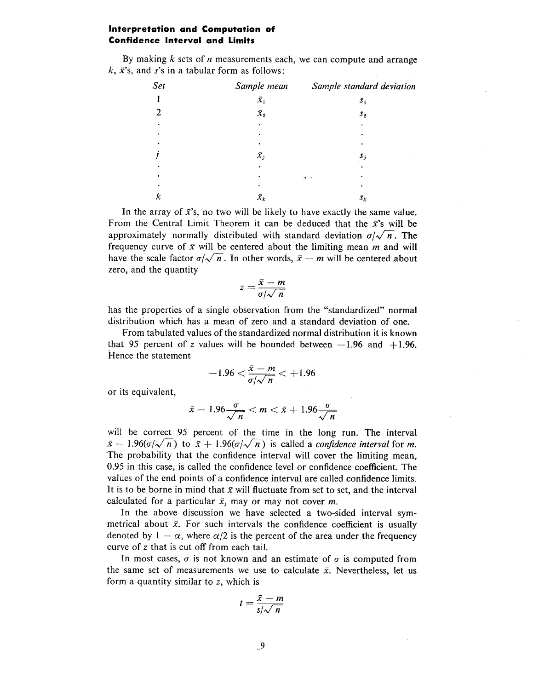#### Interpretation and Computation of Confidence Interval and Limits

By making  $k$  sets of n measurements each, we can compute and arrange By making *k* sets of *n* measurements each, we can compute and arrange <br>*k*,  $\bar{x}$ 's, and  $\bar{s}$ 's in a tabular form as follows:<br>Set Sample mean Sample standard deviation

| Set | Sample mean   | Sample standard deviation |
|-----|---------------|---------------------------|
|     | $\bar{x}_1$   | $s_{1}$                   |
| 2   | $\bar{x}_2$   | $s_{2}$                   |
|     |               |                           |
|     |               | ٠                         |
|     |               |                           |
|     | $\bar{x}_i$   | $s_i$                     |
|     |               |                           |
|     | ٠             | $\mathcal{R} \rightarrow$ |
|     |               |                           |
|     | $\bar{X}_{k}$ | $S_{\nu}$                 |

In the array of  $\bar{x}$ 's, no two will be likely to have exactly the same value. From the Central Limit Theorem it can be deduced that the  $\bar{x}$ 's will be approximately normally distributed with standard deviation  $\sigma/\sqrt{n}$ . The frequency curve of  $\bar{x}$  will be centered about the limiting mean m and will have the scale factor  $\sigma/\sqrt{n}$ . In other words,  $\bar{x} - m$  will be centered about zero, and the quantity

$$
z=\frac{\bar{x}-m}{\sigma/\sqrt{n}}
$$

has the properties of a single observation from the "standardized" normal distribution which has a mean of zero and a standard deviation of one.

From tabulated values of the standardized normal distribution it is known that 95 percent of z values will be bounded between  $-1.96$  and  $+1.96$ . Hence the statement

$$
-1.96<\frac{\bar{x}-m}{\sigma/\sqrt{n}}<+1.96
$$

or its equivalent

$$
\bar{x}-1.96\frac{\sigma}{\sqrt{n}}< m<\bar{x}+1.96\frac{\sigma}{\sqrt{n}}
$$

will be correct 95 percent of the time in the long run. The interval  $\bar{x}$  – 1.96( $\sigma/\sqrt{n}$ ) to  $\bar{x}$  + 1.96( $\sigma/\sqrt{n}$ ) is called a *confidence interval* for *m*. The probability that the confidence interval will cover the limiting mean, 0.95 in this case, is called the confidence level or confidence coefficient. The values of the end points of a confidence interval are called confidence limits. It is to be borne in mind that  $\bar{x}$  will fluctuate from set to set, and the interval calculated for a particular  $\bar{x}_i$  may or may not cover m.

In the above discussion we have selected a two-sided interval symmetrical about  $\bar{x}$ . For such intervals the confidence coefficient is usually denoted by  $1 - \alpha$ , where  $\alpha/2$  is the percent of the area under the frequency curve of  $z$  that is cut off from each tail.

In most cases,  $\sigma$  is not known and an estimate of  $\sigma$  is computed from the same set of measurements we use to calculate  $\bar{x}$ . Nevertheless, let us form a quantity similar to  $z$ , which is

$$
t=\frac{\bar{x}-m}{s/\sqrt{n}}
$$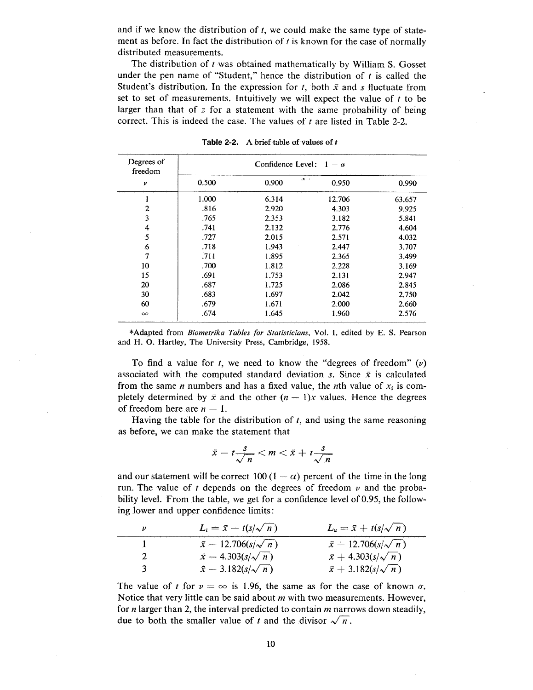and if we know the distribution of  $t$ , we could make the same type of statement as before. In fact the distribution of  $t$  is known for the case of normally distributed measurements.

The distribution of  $t$  was obtained mathematically by William S. Gosset under the pen name of "Student," hence the distribution of  $t$  is called the Student's distribution. In the expression for t, both  $\bar{x}$  and s fluctuate from set to set of measurements. Intuitively we will expect the value of  $t$  to be larger than that of  $z$  for a statement with the same probability of being correct. This is indeed the case. The values of  $t$  are listed in Table 2-2.

| Degrees of<br>freedom | Confidence Level: $1 - \alpha$ |                                    |        |        |  |
|-----------------------|--------------------------------|------------------------------------|--------|--------|--|
| $\boldsymbol{\nu}$    | 0.500                          | $\mathcal{R} \rightarrow$<br>0.900 | 0.950  | 0.990  |  |
|                       | 1.000                          | 6.314                              | 12.706 | 63.657 |  |
| 2                     | .816                           | 2.920                              | 4.303  | 9.925  |  |
| 3                     | .765                           | 2.353                              | 3.182  | 5.841  |  |
| 4                     | .741                           | 2.132                              | 2.776  | 4.604  |  |
| 5                     | .727                           | 2.015                              | 2.571  | 4.032  |  |
| 6                     | .718                           | 1.943                              | 2.447  | 3.707  |  |
| 7                     | .711                           | 1.895                              | 2.365  | 3.499  |  |
| 10                    | .700                           | 1.812                              | 2.228  | 3.169  |  |
| 15                    | .691                           | 1.753                              | 2.131  | 2.947  |  |
| 20                    | .687                           | 1.725                              | 2.086  | 2.845  |  |
| 30                    | .683                           | 1.697                              | 2.042  | 2.750  |  |
| 60                    | .679                           | 1.671                              | 2.000  | 2.660  |  |
| $\infty$              | .674                           | 1.645                              | 1.960  | 2.576  |  |

Table 2-2. A brief table of values of  $t$ 

\*Adapted from Biometrika Tables for Statisticians, Vol. I, edited by E. S. Pearson and H. O. Hartley, The University Press, Cambridge, 1958.

To find a value for t, we need to know the "degrees of freedom"  $(v)$ associated with the computed standard deviation s. Since  $\bar{x}$  is calculated from the same *n* numbers and has a fixed value, the *n*th value of  $x_i$  is completely determined by  $\bar{x}$  and the other  $(n - 1)x$  values. Hence the degrees of freedom here are  $n - 1$ .

Having the table for the distribution of  $t$ , and using the same reasoning as before, we can make the statement that

$$
\bar{x}-t\frac{s}{\sqrt{n}}< m<\bar{x}+t\frac{s}{\sqrt{n}}
$$

and our statement will be correct 100 (1 –  $\alpha$ ) percent of the time in the long run. The value of t depends on the degrees of freedom  $\nu$  and the probability level. From the table, we get for a confidence level of 0.95, the following lower and upper confidence limits:

| ν | $L_l = \bar{x} - t(s/\sqrt{n})$ | $L_u = \bar{x} + t(s/\sqrt{n})$ |
|---|---------------------------------|---------------------------------|
|   | $\bar{x} - 12.706(s/\sqrt{n})$  | $\bar{x} + 12.706(s/\sqrt{n})$  |
| 2 | $\bar{x} - 4.303(s/\sqrt{n})$   | $\bar{x} + 4.303(s/\sqrt{n})$   |
| 3 | $\bar{x} - 3.182(s/\sqrt{n})$   | $\bar{x} + 3.182(s/\sqrt{n})$   |

The value of t for  $v = \infty$  is 1.96, the same as for the case of known  $\sigma$ . Notice that very little can be said about  $m$  with two measurements. However, for *n* larger than 2, the interval predicted to contain *m* narrows down steadily, due to both the smaller value of t and the divisor  $\sqrt{n}$ .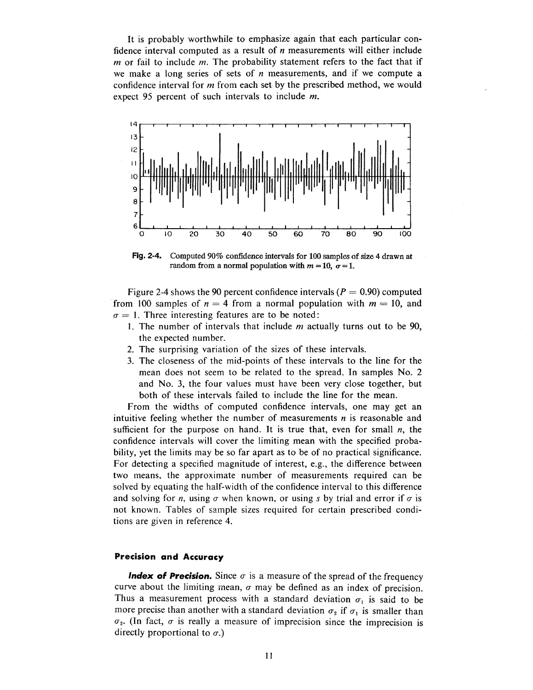It is probably worthwhile to emphasize again that each particular confidence interval computed as a result of  $n$  measurements will either include  $m$  or fail to include  $m$ . The probability statement refers to the fact that if we make a long series of sets of  $n$  measurements, and if we compute a confidence interval for  $m$  from each set by the prescribed method, we would expect 95 percent of such intervals to include  $m$ .



Fig. 2-4. Computed 90% confidence intervals for 100 samples of size 4 drawn at random from a normal population with  $m = 10$ ,  $\sigma = 1$ .

Figure 2-4 shows the 90 percent confidence intervals ( $P = 0.90$ ) computed from 100 samples of  $n = 4$  from a normal population with  $m = 10$ , and  $\sigma = 1$ . Three interesting features are to be noted:

- 1. The number of intervals that include  $m$  actually turns out to be 90, the expected number.
- 2. The surprising variation of the sizes of these intervals.
- 3. The closeness of the mid-points of these intervals to the line for the mean does not seem to be related to the spread. In samples No. 2 and No. 3, the four values must have been very close together, but both of these intervals failed to include the line for the mean.

From the widths of computed confidence intervals, one may get an intuitive feeling whether the number of measurements  $n$  is reasonable and sufficient for the purpose on hand. It is true that, even for small  $n$ , the confidence intervals will cover the limiting mean with the specified probability, yet the limits may be so far apart as to be of no practical significance. For detecting a specified magnitude of interest, e.g., the difference between two means, the approximate number of measurements required can be solved by equating the half-width of the confidence interval to this difference and solving for n, using  $\sigma$  when known, or using s by trial and error if  $\sigma$  is not known. Tables of sample sizes required for certain prescribed conditions are given in reference 4.

#### Precision and Accuracy

**Index of Precision.** Since  $\sigma$  is a measure of the spread of the frequency curve about the limiting mean,  $\sigma$  may be defined as an index of precision. Thus a measurement process with a standard deviation  $\sigma_1$  is said to be more precise than another with a standard deviation  $\sigma_2$  if  $\sigma_1$  is smaller than  $\sigma_2$ . (In fact,  $\sigma$  is really a measure of imprecision since the imprecision is directly proportional to  $\sigma$ .)